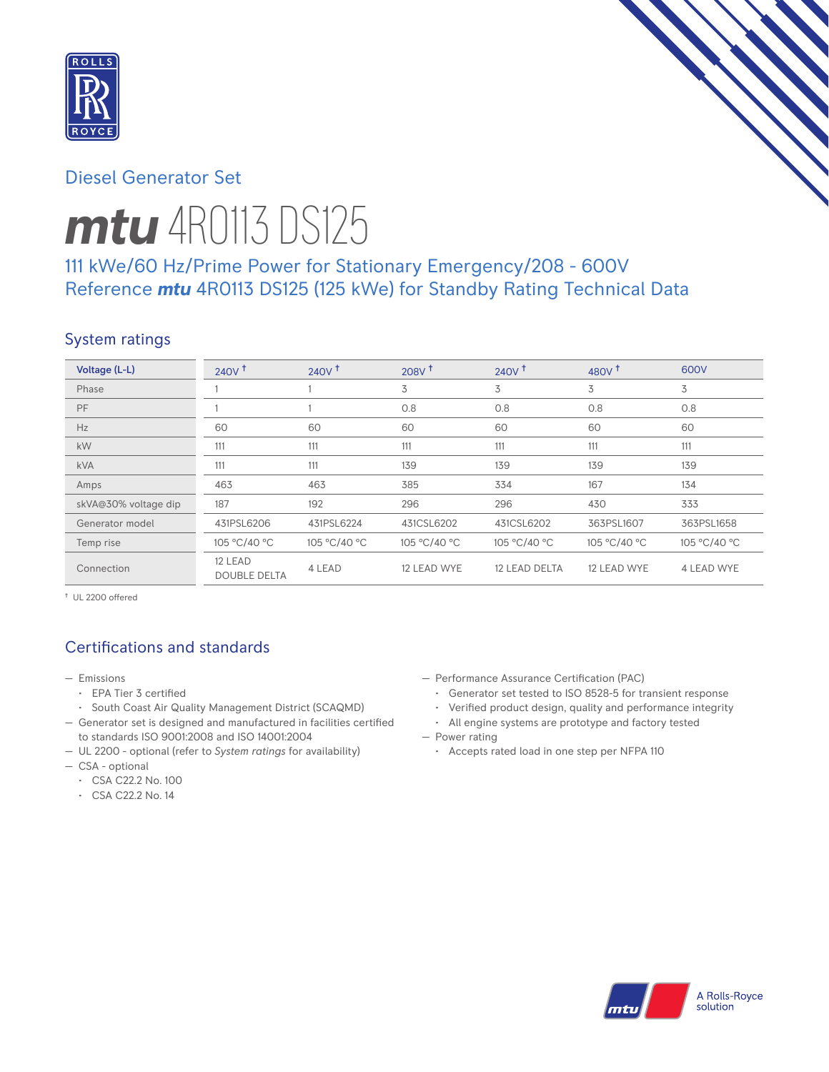

# Diesel Generator Set

# *mtu* 4R0113 DS125

# 111 kWe/60 Hz/Prime Power for Stationary Emergency/208 - 600V Reference *mtu* 4R0113 DS125 (125 kWe) for Standby Rating Technical Data

## System ratings

| Voltage (L-L)        | 240V <sup>†</sup>              | $240V$ <sup>+</sup> | 208V <sup>†</sup> | 240V <sup>†</sup> | 480 $V†$     | 600V              |
|----------------------|--------------------------------|---------------------|-------------------|-------------------|--------------|-------------------|
| Phase                |                                |                     | 3                 | 3                 | 3            | 3                 |
| PF                   |                                |                     | 0.8               | 0.8               | 0.8          | 0.8               |
| Hz                   | 60                             | 60                  | 60                | 60                | 60           | 60                |
| kW                   | 111                            | 111                 | 111               | 111               | 111          | 111               |
| <b>kVA</b>           | 111                            | 111                 | 139               | 139               | 139          | 139               |
| Amps                 | 463                            | 463                 | 385               | 334               | 167          | 134               |
| skVA@30% voltage dip | 187                            | 192                 | 296               | 296               | 430          | 333               |
| Generator model      | 431PSL6206                     | 431PSL6224          | 431CSL6202        | 431CSL6202        | 363PSL1607   | 363PSL1658        |
| Temp rise            | 105 °C/40 °C                   | 105 °C/40 °C        | 105 °C/40 °C      | 105 °C/40 °C      | 105 °C/40 °C | 105 °C/40 °C      |
| Connection           | 12 LEAD<br><b>DOUBLE DELTA</b> | 4 LEAD              | 12 LEAD WYE       | 12 LEAD DELTA     | 12 LEAD WYE  | <b>4 LEAD WYE</b> |

† UL 2200 offered

# Certifications and standards

- Emissions
	- EPA Tier 3 certified
	- South Coast Air Quality Management District (SCAQMD)
- Generator set is designed and manufactured in facilities certified to standards ISO 9001:2008 and ISO 14001:2004
- UL 2200 optional (refer to *System ratings* for availability)
- CSA optional
	- CSA C22.2 No. 100
	- CSA C22.2 No. 14
- Performance Assurance Certification (PAC)
	- Generator set tested to ISO 8528-5 for transient response
	- Verified product design, quality and performance integrity
	- All engine systems are prototype and factory tested
- Power rating
	- Accepts rated load in one step per NFPA 110

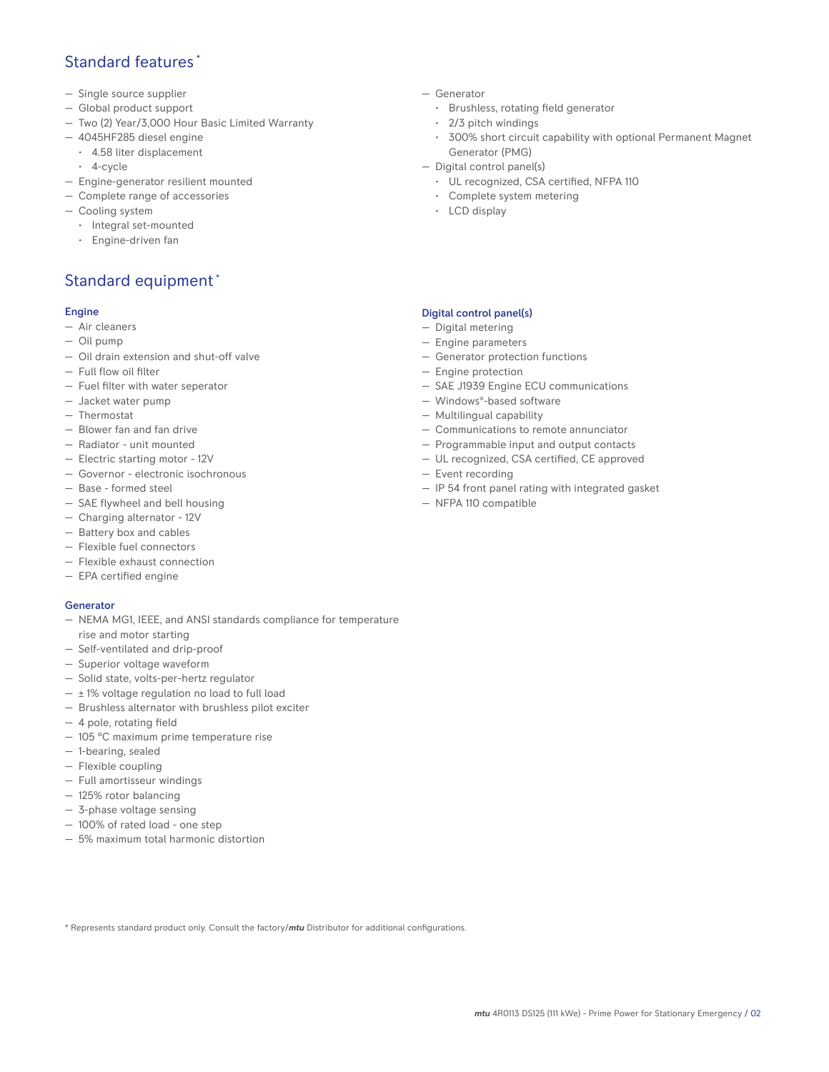## Standard features \*

- Single source supplier
- Global product support
- Two (2) Year/3,000 Hour Basic Limited Warranty
- 4045HF285 diesel engine
- 4.58 liter displacement
- 4-cycle
- Engine-generator resilient mounted
- Complete range of accessories
- Cooling system
	- Integral set-mounted
	- Engine-driven fan

# Standard equipment \*

#### Engine

- Air cleaners
- Oil pump
- Oil drain extension and shut-off valve
- Full flow oil filter
- Fuel filter with water seperator
- Jacket water pump
- Thermostat
- Blower fan and fan drive
- Radiator unit mounted
- Electric starting motor 12V
- Governor electronic isochronous
- Base formed steel
- SAE flywheel and bell housing
- Charging alternator 12V
- Battery box and cables
- Flexible fuel connectors
- Flexible exhaust connection
- EPA certified engine

#### Generator

- NEMA MG1, IEEE, and ANSI standards compliance for temperature rise and motor starting
- Self-ventilated and drip-proof
- Superior voltage waveform
- Solid state, volts-per-hertz regulator
- $\pm$  1% voltage regulation no load to full load
- Brushless alternator with brushless pilot exciter
- 4 pole, rotating field
- 105 °C maximum prime temperature rise
- 1-bearing, sealed
- Flexible coupling
- Full amortisseur windings
- 125% rotor balancing
- 3-phase voltage sensing
- 100% of rated load one step
- 5% maximum total harmonic distortion
- Generator
	- Brushless, rotating field generator
	- 2/3 pitch windings
	- 300% short circuit capability with optional Permanent Magnet Generator (PMG)
- Digital control panel(s)
	- UL recognized, CSA certified, NFPA 110
	- Complete system metering
	- LCD display

## Digital control panel(s)

- Digital metering
- Engine parameters
- Generator protection functions
- Engine protection
- SAE J1939 Engine ECU communications
- Windows®-based software
- Multilingual capability
- Communications to remote annunciator
- Programmable input and output contacts
- UL recognized, CSA certified, CE approved
- Event recording
- IP 54 front panel rating with integrated gasket
- NFPA 110 compatible

\* Represents standard product only. Consult the factory/*mtu* Distributor for additional configurations.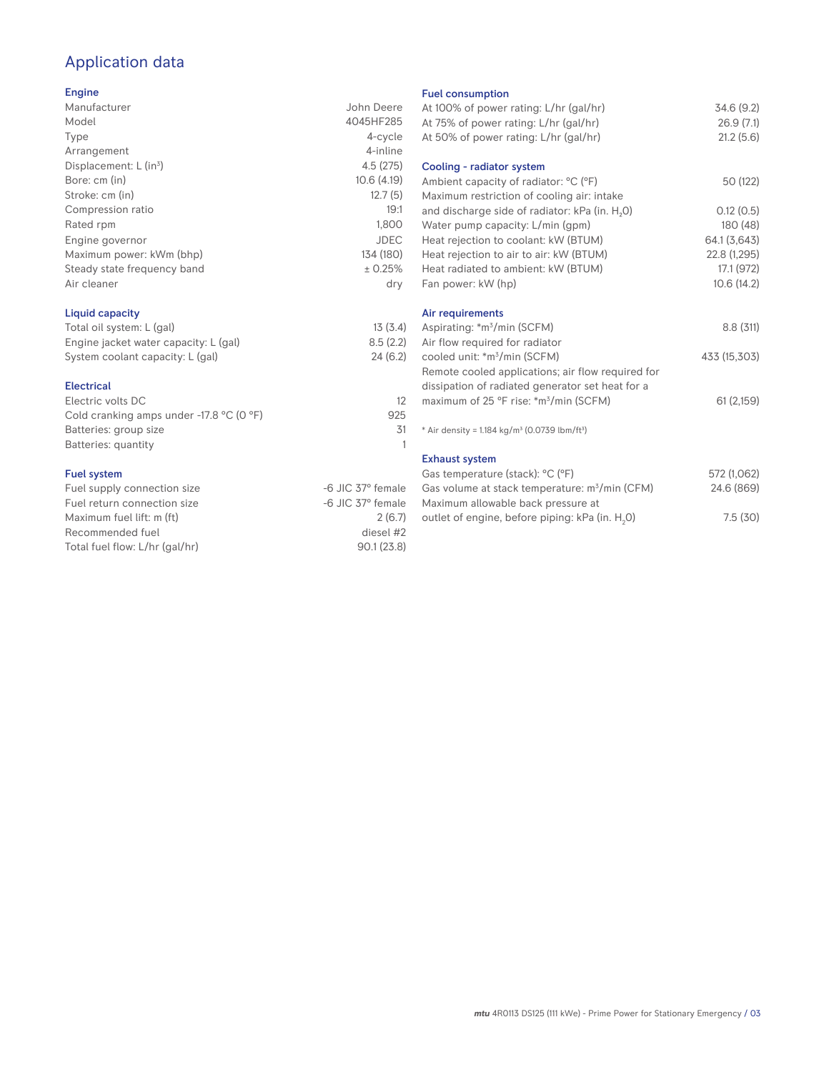# Application data

### Engine

| Manufacturer                | John Deere  |
|-----------------------------|-------------|
| Model                       | 4045HF285   |
| Type                        | 4-cycle     |
| Arrangement                 | 4-inline    |
| Displacement: $L (in3)$     | 4.5(275)    |
| Bore: cm (in)               | 10.6(4.19)  |
| Stroke: cm (in)             | 12.7(5)     |
| Compression ratio           | 19:1        |
| Rated rpm                   | 1,800       |
| Engine governor             | <b>JDEC</b> |
| Maximum power: kWm (bhp)    | 134 (180)   |
| Steady state frequency band | ± 0.25%     |
| Air cleaner                 | dry         |
|                             |             |

## Liquid capacity

| Total oil system: L (gal)             | 13(3.4)  |
|---------------------------------------|----------|
| Engine jacket water capacity: L (gal) | 8.5(2.2) |
| System coolant capacity: L (gal)      | 24(6.2)  |

#### Electrical

| Electric volts DC                                            |     |
|--------------------------------------------------------------|-----|
| Cold cranking amps under -17.8 $^{\circ}$ C (O $^{\circ}$ F) | 925 |
| Batteries: group size                                        | .31 |
| Batteries: quantity                                          |     |
|                                                              |     |

## Fuel system

| -6 JIC 37° female |
|-------------------|
| -6 JIC 37° female |
| 2(6.7)            |
| diesel #2         |
| 90.1(23.8)        |
|                   |

#### Fuel consumption

| .e           | At 100% of power rating: L/hr (gal/hr)                                | 34.6 (9.2)   |
|--------------|-----------------------------------------------------------------------|--------------|
| 5            | At 75% of power rating: L/hr (gal/hr)                                 | 26.9(7.1)    |
| e            | At 50% of power rating: L/hr (gal/hr)                                 | 21.2(5.6)    |
| е            |                                                                       |              |
| 5)           | Cooling - radiator system                                             |              |
| 3)           | Ambient capacity of radiator: °C (°F)                                 | 50 (122)     |
| 5)           | Maximum restriction of cooling air: intake                            |              |
| :1           | and discharge side of radiator: kPa (in. H <sub>2</sub> O)            | 0.12(0.5)    |
| 0            | Water pump capacity: L/min (gpm)                                      | 180 (48)     |
| С            | Heat rejection to coolant: kW (BTUM)                                  | 64.1 (3,643) |
| ))           | Heat rejection to air to air: kW (BTUM)                               | 22.8 (1,295) |
| ℅            | Heat radiated to ambient: kW (BTUM)                                   | 17.1 (972)   |
| .<br>V       | Fan power: kW (hp)                                                    | 10.6(14.2)   |
|              |                                                                       |              |
|              | Air requirements                                                      |              |
| .4)          | Aspirating: *m <sup>3</sup> /min (SCFM)                               | 8.8(311)     |
| .2)          | Air flow required for radiator                                        |              |
| .2)          | cooled unit: *m <sup>3</sup> /min (SCFM)                              | 433 (15,303) |
|              | Remote cooled applications; air flow required for                     |              |
|              | dissipation of radiated generator set heat for a                      |              |
| 12           | maximum of 25 °F rise: *m <sup>3</sup> /min (SCFM)                    | 61(2,159)    |
| 25           |                                                                       |              |
| 31           | * Air density = 1.184 kg/m <sup>3</sup> (0.0739 lbm/ft <sup>3</sup> ) |              |
| $\mathbf{1}$ |                                                                       |              |
|              | <b>Exhaust system</b>                                                 |              |
|              | Gas temperature (stack): °C (°F)                                      | 572 (1,062)  |
| ıle          | Gas volume at stack temperature: m <sup>3</sup> /min (CFM)            | 24.6 (869)   |
| ıle          | Maximum allowable back pressure at                                    |              |
| .7)          | outlet of engine, before piping: kPa (in. H <sub>2</sub> O)           | 7.5(30)      |
|              |                                                                       |              |